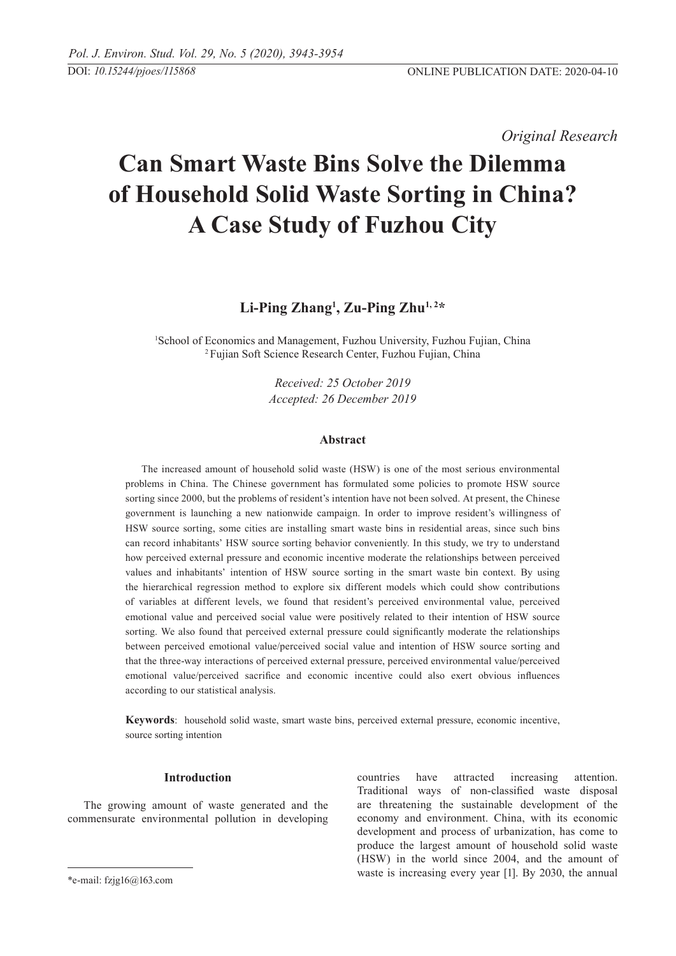*Original Research* 

# **Can Smart Waste Bins Solve the Dilemma of Household Solid Waste Sorting in China? A Case Study of Fuzhou City**

**Li-ping Zhang1 , Zu-ping Zhu1, 2\***

<sup>1</sup>School of Economics and Management, Fuzhou University, Fuzhou Fujian, China 2 Fujian Soft Science Research Center, Fuzhou Fujian, China

> *Received: 25 October 2019 Accepted: 26 December 2019*

## **Abstract**

The increased amount of household solid waste (HSW) is one of the most serious environmental problems in China. The Chinese government has formulated some policies to promote HSW source sorting since 2000, but the problems of resident's intention have not been solved. At present, the Chinese government is launching a new nationwide campaign. In order to improve resident's willingness of HSW source sorting, some cities are installing smart waste bins in residential areas, since such bins can record inhabitants' HSW source sorting behavior conveniently. In this study, we try to understand how perceived external pressure and economic incentive moderate the relationships between perceived values and inhabitants' intention of HSW source sorting in the smart waste bin context. By using the hierarchical regression method to explore six different models which could show contributions of variables at different levels, we found that resident's perceived environmental value, perceived emotional value and perceived social value were positively related to their intention of HSW source sorting. We also found that perceived external pressure could significantly moderate the relationships between perceived emotional value/perceived social value and intention of HSW source sorting and that the three-way interactions of perceived external pressure, perceived environmental value/perceived emotional value/perceived sacrifice and economic incentive could also exert obvious influences according to our statistical analysis.

**Keywords**: household solid waste, smart waste bins, perceived external pressure, economic incentive, source sorting intention

## **Introduction**

The growing amount of waste generated and the commensurate environmental pollution in developing

countries have attracted increasing attention. Traditional ways of non-classified waste disposal are threatening the sustainable development of the economy and environment. China, with its economic development and process of urbanization, has come to produce the largest amount of household solid waste (HSW) in the world since 2004, and the amount of waste is increasing every year [1]. By 2030, the annual

<sup>\*</sup>e-mail: fzjg16@163.com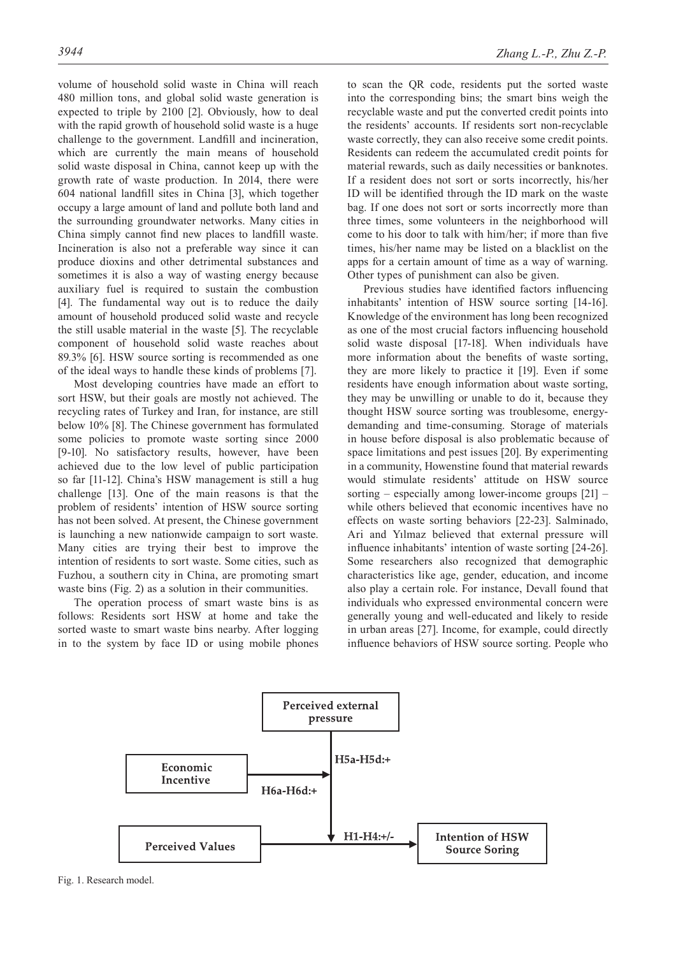volume of household solid waste in China will reach 480 million tons, and global solid waste generation is expected to triple by 2100 [2]. Obviously, how to deal with the rapid growth of household solid waste is a huge challenge to the government. Landfill and incineration, which are currently the main means of household solid waste disposal in China, cannot keep up with the growth rate of waste production. In 2014, there were 604 national landfill sites in China [3], which together occupy a large amount of land and pollute both land and the surrounding groundwater networks. Many cities in China simply cannot find new places to landfill waste. Incineration is also not a preferable way since it can produce dioxins and other detrimental substances and sometimes it is also a way of wasting energy because auxiliary fuel is required to sustain the combustion [4]. The fundamental way out is to reduce the daily amount of household produced solid waste and recycle the still usable material in the waste [5]. The recyclable component of household solid waste reaches about 89.3% [6]. HSW source sorting is recommended as one of the ideal ways to handle these kinds of problems [7].

Most developing countries have made an effort to sort HSW, but their goals are mostly not achieved. The recycling rates of Turkey and Iran, for instance, are still below 10% [8]. The Chinese government has formulated some policies to promote waste sorting since 2000 [9-10]. No satisfactory results, however, have been achieved due to the low level of public participation so far [11-12]. China's HSW management is still a hug challenge [13]. One of the main reasons is that the problem of residents' intention of HSW source sorting has not been solved. At present, the Chinese government is launching a new nationwide campaign to sort waste. Many cities are trying their best to improve the intention of residents to sort waste. Some cities, such as Fuzhou, a southern city in China, are promoting smart waste bins (Fig. 2) as a solution in their communities.

The operation process of smart waste bins is as follows: Residents sort HSW at home and take the sorted waste to smart waste bins nearby. After logging in to the system by face ID or using mobile phones to scan the QR code, residents put the sorted waste into the corresponding bins; the smart bins weigh the recyclable waste and put the converted credit points into the residents' accounts. If residents sort non-recyclable waste correctly, they can also receive some credit points. Residents can redeem the accumulated credit points for material rewards, such as daily necessities or banknotes. If a resident does not sort or sorts incorrectly, his/her ID will be identified through the ID mark on the waste bag. If one does not sort or sorts incorrectly more than three times, some volunteers in the neighborhood will come to his door to talk with him/her; if more than five times, his/her name may be listed on a blacklist on the apps for a certain amount of time as a way of warning. Other types of punishment can also be given.

Previous studies have identified factors influencing inhabitants' intention of HSW source sorting [14-16]. Knowledge of the environment has long been recognized as one of the most crucial factors influencing household solid waste disposal [17-18]. When individuals have more information about the benefits of waste sorting, they are more likely to practice it [19]. Even if some residents have enough information about waste sorting, they may be unwilling or unable to do it, because they thought HSW source sorting was troublesome, energydemanding and time-consuming. Storage of materials in house before disposal is also problematic because of space limitations and pest issues [20]. By experimenting in a community, Howenstine found that material rewards would stimulate residents' attitude on HSW source sorting – especially among lower-income groups [21] – while others believed that economic incentives have no effects on waste sorting behaviors [22-23]. Salminado, Ari and Yılmaz believed that external pressure will influence inhabitants' intention of waste sorting [24-26]. Some researchers also recognized that demographic characteristics like age, gender, education, and income also play a certain role. For instance, Devall found that individuals who expressed environmental concern were generally young and well-educated and likely to reside in urban areas [27]. Income, for example, could directly influence behaviors of HSW source sorting. People who



Fig. 1. Research model.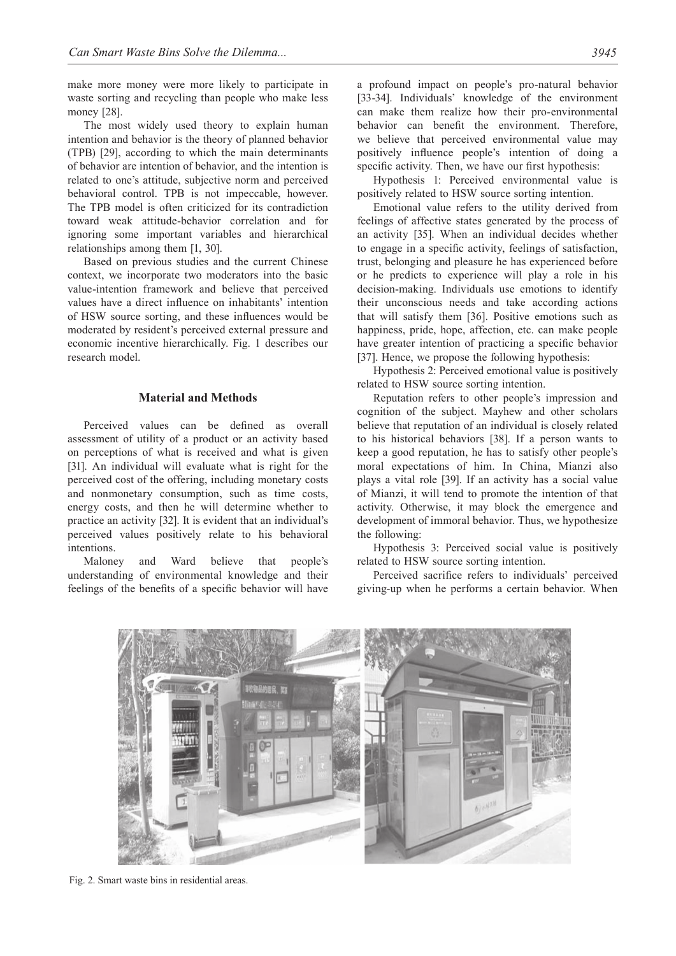make more money were more likely to participate in waste sorting and recycling than people who make less money [28].

The most widely used theory to explain human intention and behavior is the theory of planned behavior (TPB) [29], according to which the main determinants of behavior are intention of behavior, and the intention is related to one's attitude, subjective norm and perceived behavioral control. TPB is not impeccable, however. The TPB model is often criticized for its contradiction toward weak attitude-behavior correlation and for ignoring some important variables and hierarchical relationships among them [1, 30].

Based on previous studies and the current Chinese context, we incorporate two moderators into the basic value-intention framework and believe that perceived values have a direct influence on inhabitants' intention of HSW source sorting, and these influences would be moderated by resident's perceived external pressure and economic incentive hierarchically. Fig. 1 describes our research model.

# **Material and Methods**

Perceived values can be defined as overall assessment of utility of a product or an activity based on perceptions of what is received and what is given [31]. An individual will evaluate what is right for the perceived cost of the offering, including monetary costs and nonmonetary consumption, such as time costs, energy costs, and then he will determine whether to practice an activity [32]. It is evident that an individual's perceived values positively relate to his behavioral intentions.

Maloney and Ward believe that people's understanding of environmental knowledge and their feelings of the benefits of a specific behavior will have a profound impact on people's pro-natural behavior [33-34]. Individuals' knowledge of the environment can make them realize how their pro-environmental behavior can benefit the environment. Therefore, we believe that perceived environmental value may positively influence people's intention of doing a specific activity. Then, we have our first hypothesis:

Hypothesis 1: Perceived environmental value is positively related to HSW source sorting intention.

Emotional value refers to the utility derived from feelings of affective states generated by the process of an activity [35]. When an individual decides whether to engage in a specific activity, feelings of satisfaction, trust, belonging and pleasure he has experienced before or he predicts to experience will play a role in his decision-making. Individuals use emotions to identify their unconscious needs and take according actions that will satisfy them [36]. Positive emotions such as happiness, pride, hope, affection, etc. can make people have greater intention of practicing a specific behavior [37]. Hence, we propose the following hypothesis:

Hypothesis 2: Perceived emotional value is positively related to HSW source sorting intention.

Reputation refers to other people's impression and cognition of the subject. Mayhew and other scholars believe that reputation of an individual is closely related to his historical behaviors [38]. If a person wants to keep a good reputation, he has to satisfy other people's moral expectations of him. In China, Mianzi also plays a vital role [39]. If an activity has a social value of Mianzi, it will tend to promote the intention of that activity. Otherwise, it may block the emergence and development of immoral behavior. Thus, we hypothesize the following:

Hypothesis 3: Perceived social value is positively related to HSW source sorting intention.

Perceived sacrifice refers to individuals' perceived giving-up when he performs a certain behavior. When



Fig. 2. Smart waste bins in residential areas.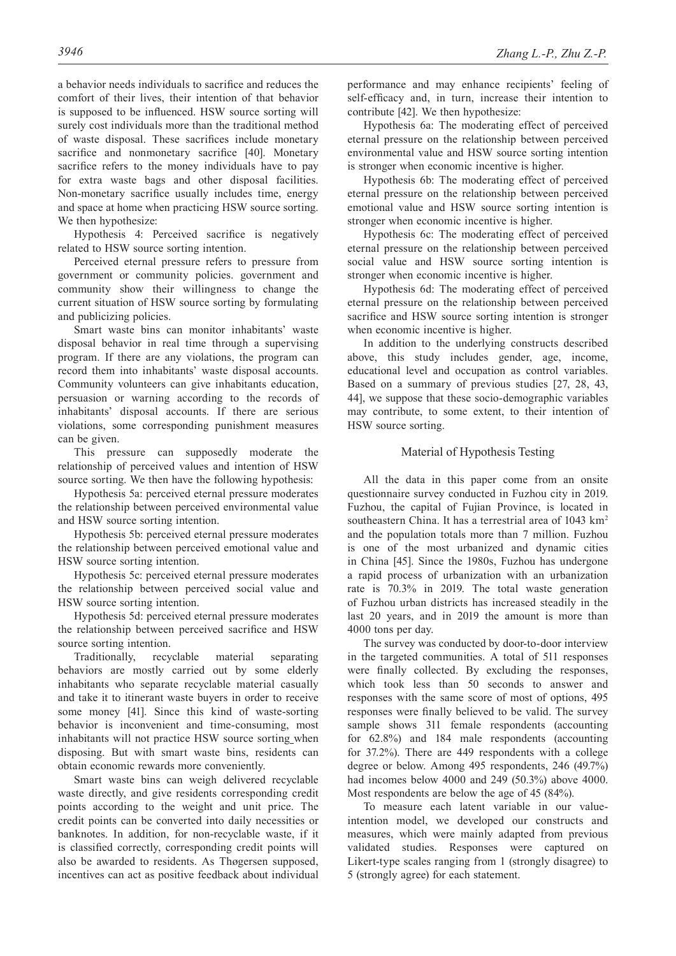a behavior needs individuals to sacrifice and reduces the comfort of their lives, their intention of that behavior is supposed to be influenced. HSW source sorting will surely cost individuals more than the traditional method of waste disposal. These sacrifices include monetary sacrifice and nonmonetary sacrifice [40]. Monetary sacrifice refers to the money individuals have to pay for extra waste bags and other disposal facilities. Non-monetary sacrifice usually includes time, energy and space at home when practicing HSW source sorting. We then hypothesize:

Hypothesis 4: Perceived sacrifice is negatively related to HSW source sorting intention.

Perceived eternal pressure refers to pressure from government or community policies. government and community show their willingness to change the current situation of HSW source sorting by formulating and publicizing policies.

Smart waste bins can monitor inhabitants' waste disposal behavior in real time through a supervising program. If there are any violations, the program can record them into inhabitants' waste disposal accounts. Community volunteers can give inhabitants education, persuasion or warning according to the records of inhabitants' disposal accounts. If there are serious violations, some corresponding punishment measures can be given.

This pressure can supposedly moderate the relationship of perceived values and intention of HSW source sorting. We then have the following hypothesis:

Hypothesis 5a: perceived eternal pressure moderates the relationship between perceived environmental value and HSW source sorting intention.

Hypothesis 5b: perceived eternal pressure moderates the relationship between perceived emotional value and HSW source sorting intention.

Hypothesis 5c: perceived eternal pressure moderates the relationship between perceived social value and HSW source sorting intention.

Hypothesis 5d: perceived eternal pressure moderates the relationship between perceived sacrifice and HSW source sorting intention.

Traditionally, recyclable material separating behaviors are mostly carried out by some elderly inhabitants who separate recyclable material casually and take it to itinerant waste buyers in order to receive some money [41]. Since this kind of waste-sorting behavior is inconvenient and time-consuming, most inhabitants will not practice HSW source sorting when disposing. But with smart waste bins, residents can obtain economic rewards more conveniently.

Smart waste bins can weigh delivered recyclable waste directly, and give residents corresponding credit points according to the weight and unit price. The credit points can be converted into daily necessities or banknotes. In addition, for non-recyclable waste, if it is classified correctly, corresponding credit points will also be awarded to residents. As Thøgersen supposed, incentives can act as positive feedback about individual

performance and may enhance recipients' feeling of self-efficacy and, in turn, increase their intention to contribute [42]. We then hypothesize:

Hypothesis 6a: The moderating effect of perceived eternal pressure on the relationship between perceived environmental value and HSW source sorting intention is stronger when economic incentive is higher.

Hypothesis 6b: The moderating effect of perceived eternal pressure on the relationship between perceived emotional value and HSW source sorting intention is stronger when economic incentive is higher.

Hypothesis 6c: The moderating effect of perceived eternal pressure on the relationship between perceived social value and HSW source sorting intention is stronger when economic incentive is higher.

Hypothesis 6d: The moderating effect of perceived eternal pressure on the relationship between perceived sacrifice and HSW source sorting intention is stronger when economic incentive is higher.

In addition to the underlying constructs described above, this study includes gender, age, income, educational level and occupation as control variables. Based on a summary of previous studies [27, 28, 43, 44], we suppose that these socio-demographic variables may contribute, to some extent, to their intention of HSW source sorting.

# Material of Hypothesis Testing

All the data in this paper come from an onsite questionnaire survey conducted in Fuzhou city in 2019. Fuzhou, the capital of Fujian Province, is located in southeastern China. It has a terrestrial area of 1043 km<sup>2</sup> and the population totals more than 7 million. Fuzhou is one of the most urbanized and dynamic cities in China [45]. Since the 1980s, Fuzhou has undergone a rapid process of urbanization with an urbanization rate is 70.3% in 2019. The total waste generation of Fuzhou urban districts has increased steadily in the last 20 years, and in 2019 the amount is more than 4000 tons per day.

The survey was conducted by door-to-door interview in the targeted communities. A total of 511 responses were finally collected. By excluding the responses, which took less than 50 seconds to answer and responses with the same score of most of options, 495 responses were finally believed to be valid. The survey sample shows 311 female respondents (accounting for 62.8%) and 184 male respondents (accounting for 37.2%). There are 449 respondents with a college degree or below. Among 495 respondents, 246 (49.7%) had incomes below 4000 and 249 (50.3%) above 4000. Most respondents are below the age of 45 (84%).

To measure each latent variable in our valueintention model, we developed our constructs and measures, which were mainly adapted from previous validated studies. Responses were captured on Likert-type scales ranging from 1 (strongly disagree) to 5 (strongly agree) for each statement.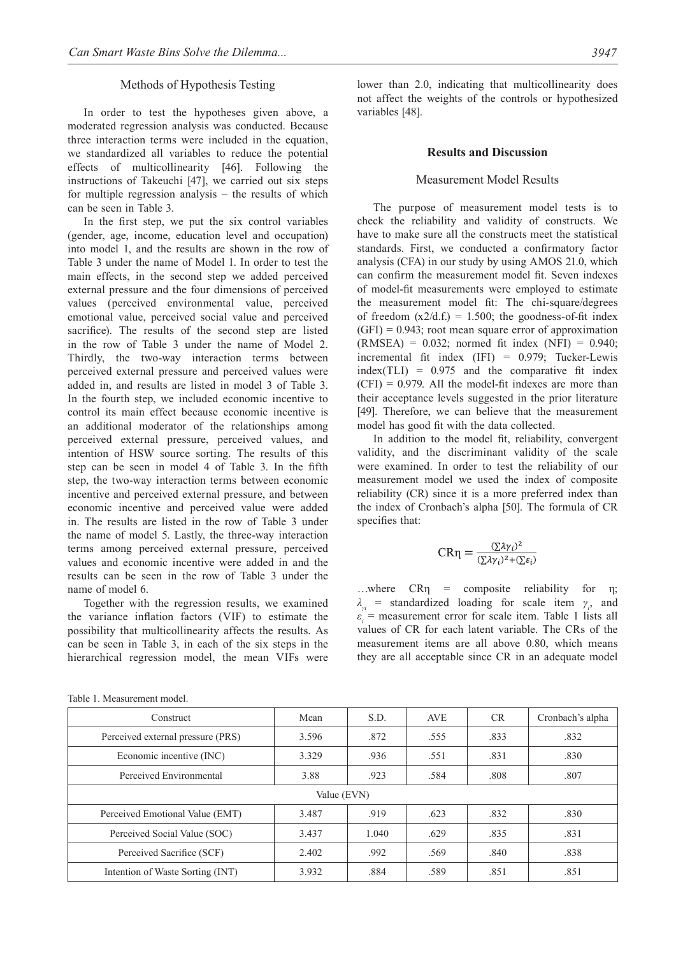## Methods of Hypothesis Testing

In order to test the hypotheses given above, a moderated regression analysis was conducted. Because three interaction terms were included in the equation, we standardized all variables to reduce the potential effects of multicollinearity [46]. Following the instructions of Takeuchi [47], we carried out six steps for multiple regression analysis – the results of which can be seen in Table 3.

In the first step, we put the six control variables (gender, age, income, education level and occupation) into model 1, and the results are shown in the row of Table 3 under the name of Model 1. In order to test the main effects, in the second step we added perceived external pressure and the four dimensions of perceived values (perceived environmental value, perceived emotional value, perceived social value and perceived sacrifice). The results of the second step are listed in the row of Table 3 under the name of Model 2. Thirdly, the two-way interaction terms between perceived external pressure and perceived values were added in, and results are listed in model 3 of Table 3. In the fourth step, we included economic incentive to control its main effect because economic incentive is an additional moderator of the relationships among perceived external pressure, perceived values, and intention of HSW source sorting. The results of this step can be seen in model 4 of Table 3. In the fifth step, the two-way interaction terms between economic incentive and perceived external pressure, and between economic incentive and perceived value were added in. The results are listed in the row of Table 3 under the name of model 5. Lastly, the three-way interaction terms among perceived external pressure, perceived values and economic incentive were added in and the results can be seen in the row of Table 3 under the name of model 6.

Together with the regression results, we examined the variance inflation factors (VIF) to estimate the possibility that multicollinearity affects the results. As can be seen in Table 3, in each of the six steps in the hierarchical regression model, the mean VIFs were lower than 2.0, indicating that multicollinearity does not affect the weights of the controls or hypothesized variables [48].

#### **Results and Discussion**

## Measurement Model Results

The purpose of measurement model tests is to check the reliability and validity of constructs. We have to make sure all the constructs meet the statistical standards. First, we conducted a confirmatory factor analysis (CFA) in our study by using AMOS 21.0, which can confirm the measurement model fit. Seven indexes of model-fit measurements were employed to estimate the measurement model fit: The chi-square/degrees of freedom  $(x2/d.f.) = 1.500$ ; the goodness-of-fit index  $(GFI) = 0.943$ ; root mean square error of approximation  $(RMSEA) = 0.032$ ; normed fit index  $(NFI) = 0.940$ ; incremental fit index (IFI) = 0.979; Tucker-Lewis  $index(TLI) = 0.975$  and the comparative fit index  $(CFI) = 0.979$ . All the model-fit indexes are more than their acceptance levels suggested in the prior literature [49]. Therefore, we can believe that the measurement model has good fit with the data collected.

In addition to the model fit, reliability, convergent validity, and the discriminant validity of the scale were examined. In order to test the reliability of our measurement model we used the index of composite reliability (CR) since it is a more preferred index than the index of Cronbach's alpha [50]. The formula of CR specifies that:

$$
CR\eta = \frac{(\Sigma \lambda \gamma_i)^2}{(\Sigma \lambda \gamma_i)^2 + (\Sigma \varepsilon_i)}
$$

...where  $CR\eta =$  composite reliability for  $\eta$ ; *λγi* = standardized loading for scale item *γ<sup>i</sup>* , and  $\varepsilon$ <sup>*i*</sup> = measurement error for scale item. Table 1 lists all values of CR for each latent variable. The CRs of the measurement items are all above 0.80, which means they are all acceptable since CR in an adequate model

| Construct                         | Mean  | S.D.  | <b>AVE</b> | <b>CR</b> | Cronbach's alpha |  |  |  |
|-----------------------------------|-------|-------|------------|-----------|------------------|--|--|--|
| Perceived external pressure (PRS) | 3.596 | .872  | .555       | .833      | .832             |  |  |  |
| Economic incentive (INC)          | 3.329 | .936  | .551       | .831      | .830             |  |  |  |
| Perceived Environmental           | 3.88  | .923  | .584       | .808      | .807             |  |  |  |
| Value (EVN)                       |       |       |            |           |                  |  |  |  |
| Perceived Emotional Value (EMT)   | 3.487 | .919  | .623       | .832      | .830             |  |  |  |
| Perceived Social Value (SOC)      | 3.437 | 1.040 | .629       | .835      | .831             |  |  |  |
| Perceived Sacrifice (SCF)         | 2.402 | .992  | .569       | .840      | .838             |  |  |  |
| Intention of Waste Sorting (INT)  | 3.932 | .884  | .589       | .851      | .851             |  |  |  |

Table 1. Measurement model.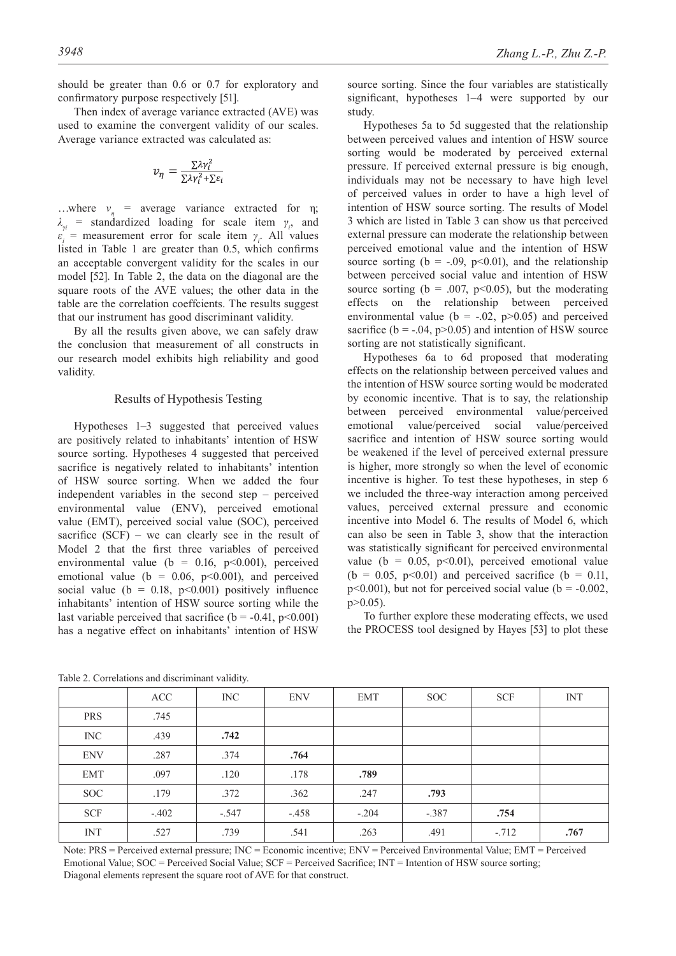should be greater than 0.6 or 0.7 for exploratory and confirmatory purpose respectively [51].

Then index of average variance extracted (AVE) was used to examine the convergent validity of our scales. Average variance extracted was calculated as:

$$
v_{\eta} = \frac{\sum \lambda \gamma_i^2}{\sum \lambda \gamma_i^2 + \sum \varepsilon_i}
$$

...where  $v_{\eta}$  = average variance extracted for  $\eta$ ;  $\lambda_{\gamma i}$  = standardized loading for scale item  $\gamma_i$ , and  $\varepsilon$ <sup>*i*</sup> = measurement error for scale item *γ*<sup>*i*</sup>. All values listed in Table 1 are greater than 0.5, which confirms an acceptable convergent validity for the scales in our model [52]. In Table 2, the data on the diagonal are the square roots of the AVE values; the other data in the table are the correlation coeffcients. The results suggest that our instrument has good discriminant validity.

By all the results given above, we can safely draw the conclusion that measurement of all constructs in our research model exhibits high reliability and good validity.

#### Results of Hypothesis Testing

Hypotheses 1–3 suggested that perceived values are positively related to inhabitants' intention of HSW source sorting. Hypotheses 4 suggested that perceived sacrifice is negatively related to inhabitants' intention of HSW source sorting. When we added the four independent variables in the second step – perceived environmental value (ENV), perceived emotional value (EMT), perceived social value (SOC), perceived sacrifice  $(SCF)$  – we can clearly see in the result of Model 2 that the first three variables of perceived environmental value (b =  $0.16$ , p<0.001), perceived emotional value ( $b = 0.06$ ,  $p \le 0.001$ ), and perceived social value ( $b = 0.18$ ,  $p \le 0.001$ ) positively influence inhabitants' intention of HSW source sorting while the last variable perceived that sacrifice ( $b = -0.41$ ,  $p < 0.001$ ) has a negative effect on inhabitants' intention of HSW

source sorting. Since the four variables are statistically significant, hypotheses 1–4 were supported by our study.

Hypotheses 5a to 5d suggested that the relationship between perceived values and intention of HSW source sorting would be moderated by perceived external pressure. If perceived external pressure is big enough, individuals may not be necessary to have high level of perceived values in order to have a high level of intention of HSW source sorting. The results of Model 3 which are listed in Table 3 can show us that perceived external pressure can moderate the relationship between perceived emotional value and the intention of HSW source sorting ( $b = -.09$ ,  $p < 0.01$ ), and the relationship between perceived social value and intention of HSW source sorting ( $b = .007$ ,  $p < 0.05$ ), but the moderating effects on the relationship between perceived environmental value ( $b = -.02$ ,  $p > 0.05$ ) and perceived sacrifice ( $b = -.04$ ,  $p > 0.05$ ) and intention of HSW source sorting are not statistically significant.

Hypotheses 6a to 6d proposed that moderating effects on the relationship between perceived values and the intention of HSW source sorting would be moderated by economic incentive. That is to say, the relationship between perceived environmental value/perceived emotional value/perceived social value/perceived sacrifice and intention of HSW source sorting would be weakened if the level of perceived external pressure is higher, more strongly so when the level of economic incentive is higher. To test these hypotheses, in step 6 we included the three-way interaction among perceived values, perceived external pressure and economic incentive into Model 6. The results of Model 6, which can also be seen in Table 3, show that the interaction was statistically significant for perceived environmental value (b =  $0.05$ , p<0.01), perceived emotional value (b = 0.05, p<0.01) and perceived sacrifice (b = 0.11,  $p<0.001$ ), but not for perceived social value ( $b = -0.002$ ,  $p > 0.05$ ).

To further explore these moderating effects, we used the PROCESS tool designed by Hayes [53] to plot these

Table 2. Correlations and discriminant validity.

INC .439 **.742**

ENV .287 .374 **.764**

EMT .097 .120 .178 **.789**

PRS 745

| <b>SOC</b>                                                                                                              | 179    | .372   | 362    | .247   | .793   |        |      |  |
|-------------------------------------------------------------------------------------------------------------------------|--------|--------|--------|--------|--------|--------|------|--|
| <b>SCF</b>                                                                                                              | $-402$ | $-547$ | $-458$ | $-204$ | $-387$ | .754   |      |  |
| <b>INT</b>                                                                                                              | .527   | .739   | .541   | .263   | .491   | $-712$ | .767 |  |
| Note: PRS = Perceived external pressure; INC = Economic incentive; ENV = Perceived Environmental Value; EMT = Perceived |        |        |        |        |        |        |      |  |
| Emotional Value: $SOC$ = Perceived Social Value: $SCF$ = Perceived Sacrifice: INT = Intention of HSW source sorting:    |        |        |        |        |        |        |      |  |
| Diagonal elements represent the square root of AVE for that construct.                                                  |        |        |        |        |        |        |      |  |

ACC | INC | ENV | EMT | SOC | SCF | INT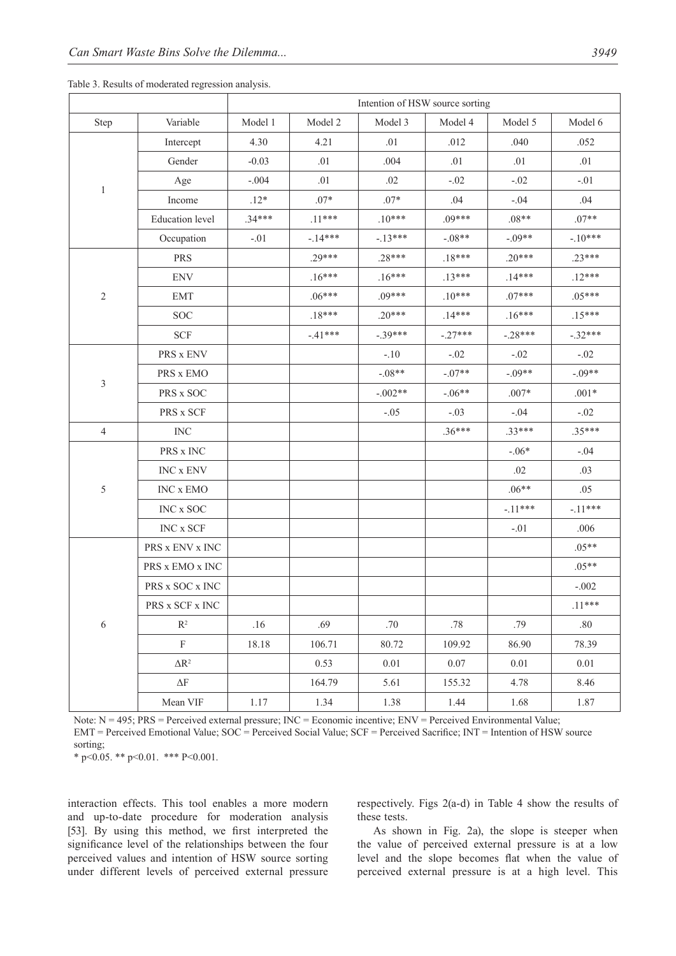|                |                         | Intention of HSW source sorting |           |           |           |           |           |
|----------------|-------------------------|---------------------------------|-----------|-----------|-----------|-----------|-----------|
| Step           | Variable                | Model 1                         | Model 2   | Model 3   | Model 4   | Model 5   | Model 6   |
| 1              | Intercept               | 4.30                            | 4.21      | .01       | .012      | .040      | .052      |
|                | Gender                  | $-0.03$                         | .01       | .004      | .01       | .01       | .01       |
|                | Age                     | $-.004$                         | .01       | .02       | $-.02$    | $-.02$    | $-.01$    |
|                | Income                  | $.12*$                          | $.07*$    | $.07*$    | .04       | $-.04$    | .04       |
|                | <b>Education</b> level  | $.34***$                        | $.11***$  | $.10***$  | $.09***$  | $.08**$   | $.07**$   |
|                | Occupation              | $-.01$                          | $-14***$  | $-.13***$ | $-.08**$  | $-.09**$  | $-10***$  |
| $\sqrt{2}$     | <b>PRS</b>              |                                 | .29***    | $.28***$  | $.18***$  | $.20***$  | $.23***$  |
|                | <b>ENV</b>              |                                 | $.16***$  | $.16***$  | $.13***$  | $.14***$  | $.12***$  |
|                | <b>EMT</b>              |                                 | $.06***$  | $.09***$  | $.10***$  | $.07***$  | $.05***$  |
|                | <b>SOC</b>              |                                 | $.18***$  | $.20***$  | $.14***$  | $.16***$  | $.15***$  |
|                | <b>SCF</b>              |                                 | $-.41***$ | $-.39***$ | $-.27***$ | $-.28***$ | $-.32***$ |
|                | PRS x ENV               |                                 |           | $-.10$    | $-.02$    | $-.02$    | $-.02$    |
|                | PRS x EMO               |                                 |           | $-.08**$  | $-.07**$  | $-.09**$  | $-.09**$  |
| 3              | PRS x SOC               |                                 |           | $-.002**$ | $-.06**$  | $.007*$   | $.001*$   |
|                | PRS x SCF               |                                 |           | $-.05$    | $-.03$    | $-.04$    | $-.02$    |
| $\overline{4}$ | <b>INC</b>              |                                 |           |           | $.36***$  | $.33***$  | $.35***$  |
|                | PRS x INC               |                                 |           |           |           | $-.06*$   | $-.04$    |
|                | INC x ENV               |                                 |           |           |           | .02       | .03       |
| $\sqrt{5}$     | INC x EMO               |                                 |           |           |           | $.06**$   | .05       |
|                | $\rm{INC}$ x $\rm{SOC}$ |                                 |           |           |           | $-.11***$ | $-.11***$ |
|                | INC x SCF               |                                 |           |           |           | $-.01$    | .006      |
| 6              | PRS x ENV x INC         |                                 |           |           |           |           | $.05**$   |
|                | PRS x EMO x INC         |                                 |           |           |           |           | $.05**$   |
|                | PRS x SOC x INC         |                                 |           |           |           |           | $-.002$   |
|                | PRS x SCF x INC         |                                 |           |           |           |           | $.11***$  |
|                | $\mathbb{R}^2$          | .16                             | .69       | .70       | .78       | .79       | .80       |
|                | $\mathbf F$             | 18.18                           | 106.71    | 80.72     | 109.92    | 86.90     | 78.39     |
|                | $\Delta \mathbf{R}^2$   |                                 | 0.53      | 0.01      | 0.07      | 0.01      | $0.01\,$  |
|                | $\Delta \text{F}$       |                                 | 164.79    | 5.61      | 155.32    | 4.78      | 8.46      |
|                | Mean VIF                | 1.17                            | 1.34      | 1.38      | 1.44      | 1.68      | 1.87      |

Note: N = 495; PRS = Perceived external pressure; INC = Economic incentive; ENV = Perceived Environmental Value; EMT = Perceived Emotional Value; SOC = Perceived Social Value; SCF = Perceived Sacrifice; INT = Intention of HSW source sorting;

\* p<0.05. \*\* p<0.01. \*\*\* P<0.001.

interaction effects. This tool enables a more modern and up-to-date procedure for moderation analysis [53]. By using this method, we first interpreted the significance level of the relationships between the four perceived values and intention of HSW source sorting under different levels of perceived external pressure

respectively. Figs 2(a-d) in Table 4 show the results of these tests.

As shown in Fig. 2a), the slope is steeper when the value of perceived external pressure is at a low level and the slope becomes flat when the value of perceived external pressure is at a high level. This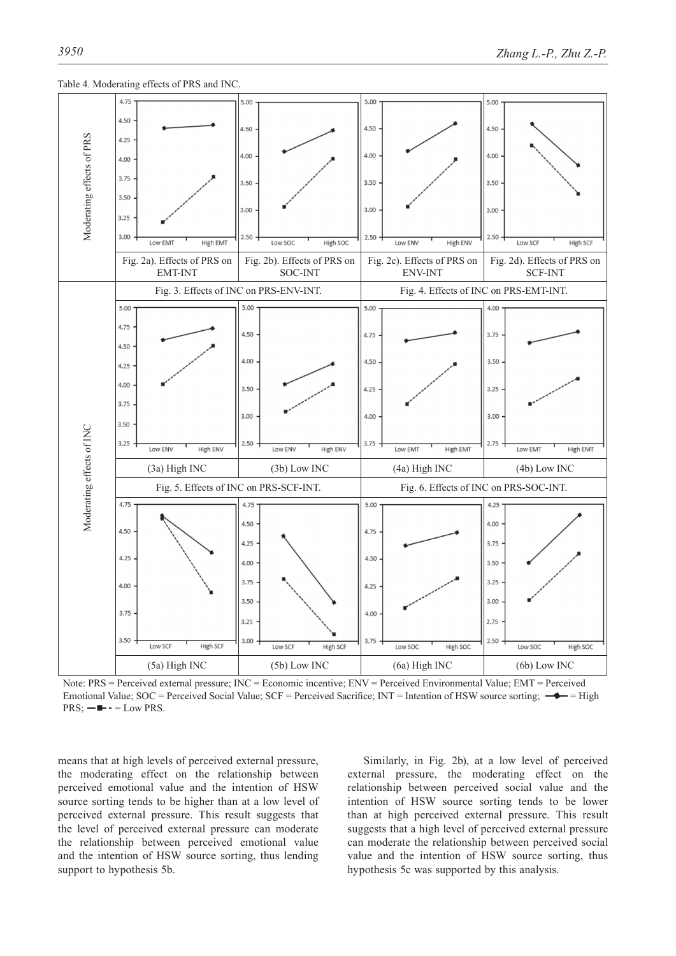



Note: PRS = Perceived external pressure; INC = Economic incentive; ENV = Perceived Environmental Value; EMT = Perceived Emotional Value; SOC = Perceived Social Value; SCF = Perceived Sacrifice; INT = Intention of HSW source sorting;  $\rightarrow$  = High  $PRS$ ;  $-\blacksquare$  - = Low PRS.

means that at high levels of perceived external pressure, the moderating effect on the relationship between perceived emotional value and the intention of HSW source sorting tends to be higher than at a low level of perceived external pressure. This result suggests that the level of perceived external pressure can moderate the relationship between perceived emotional value and the intention of HSW source sorting, thus lending support to hypothesis 5b.

Similarly, in Fig. 2b), at a low level of perceived external pressure, the moderating effect on the relationship between perceived social value and the intention of HSW source sorting tends to be lower than at high perceived external pressure. This result suggests that a high level of perceived external pressure can moderate the relationship between perceived social value and the intention of HSW source sorting, thus hypothesis 5c was supported by this analysis.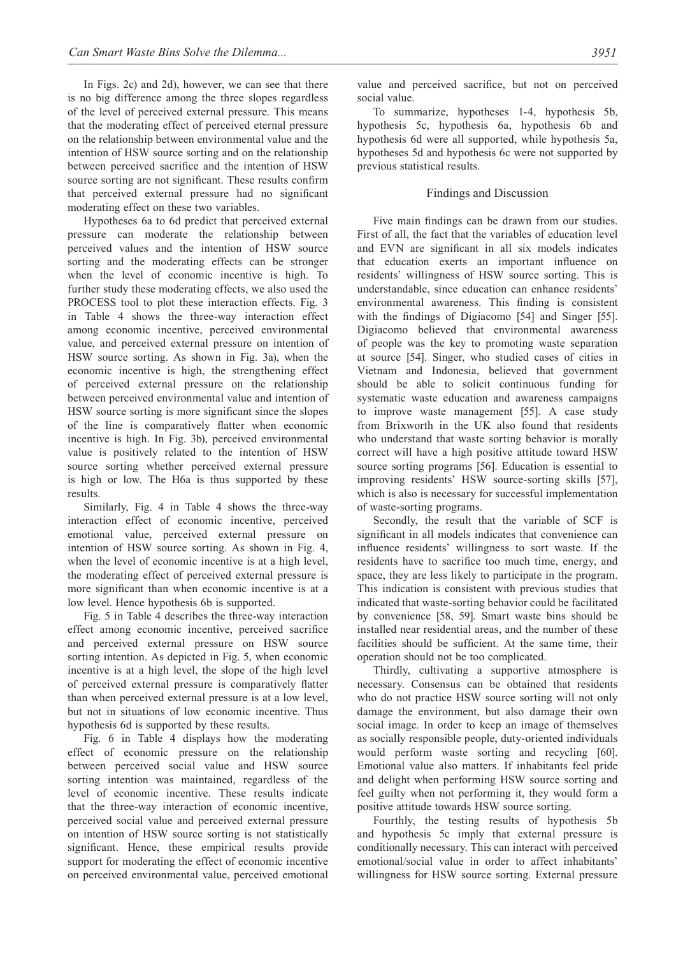In Figs. 2c) and 2d), however, we can see that there is no big difference among the three slopes regardless of the level of perceived external pressure. This means that the moderating effect of perceived eternal pressure on the relationship between environmental value and the intention of HSW source sorting and on the relationship between perceived sacrifice and the intention of HSW source sorting are not significant. These results confirm that perceived external pressure had no significant moderating effect on these two variables.

Hypotheses 6a to 6d predict that perceived external pressure can moderate the relationship between perceived values and the intention of HSW source sorting and the moderating effects can be stronger when the level of economic incentive is high. To further study these moderating effects, we also used the PROCESS tool to plot these interaction effects. Fig. 3 in Table 4 shows the three-way interaction effect among economic incentive, perceived environmental value, and perceived external pressure on intention of HSW source sorting. As shown in Fig. 3a), when the economic incentive is high, the strengthening effect of perceived external pressure on the relationship between perceived environmental value and intention of HSW source sorting is more significant since the slopes of the line is comparatively flatter when economic incentive is high. In Fig. 3b), perceived environmental value is positively related to the intention of HSW source sorting whether perceived external pressure is high or low. The H6a is thus supported by these results.

Similarly, Fig. 4 in Table 4 shows the three-way interaction effect of economic incentive, perceived emotional value, perceived external pressure on intention of HSW source sorting. As shown in Fig. 4, when the level of economic incentive is at a high level, the moderating effect of perceived external pressure is more significant than when economic incentive is at a low level. Hence hypothesis 6b is supported.

Fig. 5 in Table 4 describes the three-way interaction effect among economic incentive, perceived sacrifice and perceived external pressure on HSW source sorting intention. As depicted in Fig. 5, when economic incentive is at a high level, the slope of the high level of perceived external pressure is comparatively flatter than when perceived external pressure is at a low level, but not in situations of low economic incentive. Thus hypothesis 6d is supported by these results.

Fig. 6 in Table 4 displays how the moderating effect of economic pressure on the relationship between perceived social value and HSW source sorting intention was maintained, regardless of the level of economic incentive. These results indicate that the three-way interaction of economic incentive, perceived social value and perceived external pressure on intention of HSW source sorting is not statistically significant. Hence, these empirical results provide support for moderating the effect of economic incentive on perceived environmental value, perceived emotional

value and perceived sacrifice, but not on perceived social value.

To summarize, hypotheses 1-4, hypothesis 5b, hypothesis 5c, hypothesis 6a, hypothesis 6b and hypothesis 6d were all supported, while hypothesis 5a, hypotheses 5d and hypothesis 6c were not supported by previous statistical results.

# Findings and Discussion

Five main findings can be drawn from our studies. First of all, the fact that the variables of education level and EVN are significant in all six models indicates that education exerts an important influence on residents' willingness of HSW source sorting. This is understandable, since education can enhance residents' environmental awareness. This finding is consistent with the findings of Digiacomo [54] and Singer [55]. Digiacomo believed that environmental awareness of people was the key to promoting waste separation at source [54]. Singer, who studied cases of cities in Vietnam and Indonesia, believed that government should be able to solicit continuous funding for systematic waste education and awareness campaigns to improve waste management [55]. A case study from Brixworth in the UK also found that residents who understand that waste sorting behavior is morally correct will have a high positive attitude toward HSW source sorting programs [56]. Education is essential to improving residents' HSW source-sorting skills [57], which is also is necessary for successful implementation of waste-sorting programs.

Secondly, the result that the variable of SCF is significant in all models indicates that convenience can influence residents' willingness to sort waste. If the residents have to sacrifice too much time, energy, and space, they are less likely to participate in the program. This indication is consistent with previous studies that indicated that waste-sorting behavior could be facilitated by convenience [58, 59]. Smart waste bins should be installed near residential areas, and the number of these facilities should be sufficient. At the same time, their operation should not be too complicated.

Thirdly, cultivating a supportive atmosphere is necessary. Consensus can be obtained that residents who do not practice HSW source sorting will not only damage the environment, but also damage their own social image. In order to keep an image of themselves as socially responsible people, duty-oriented individuals would perform waste sorting and recycling [60]. Emotional value also matters. If inhabitants feel pride and delight when performing HSW source sorting and feel guilty when not performing it, they would form a positive attitude towards HSW source sorting.

Fourthly, the testing results of hypothesis 5b and hypothesis 5c imply that external pressure is conditionally necessary. This can interact with perceived emotional/social value in order to affect inhabitants' willingness for HSW source sorting. External pressure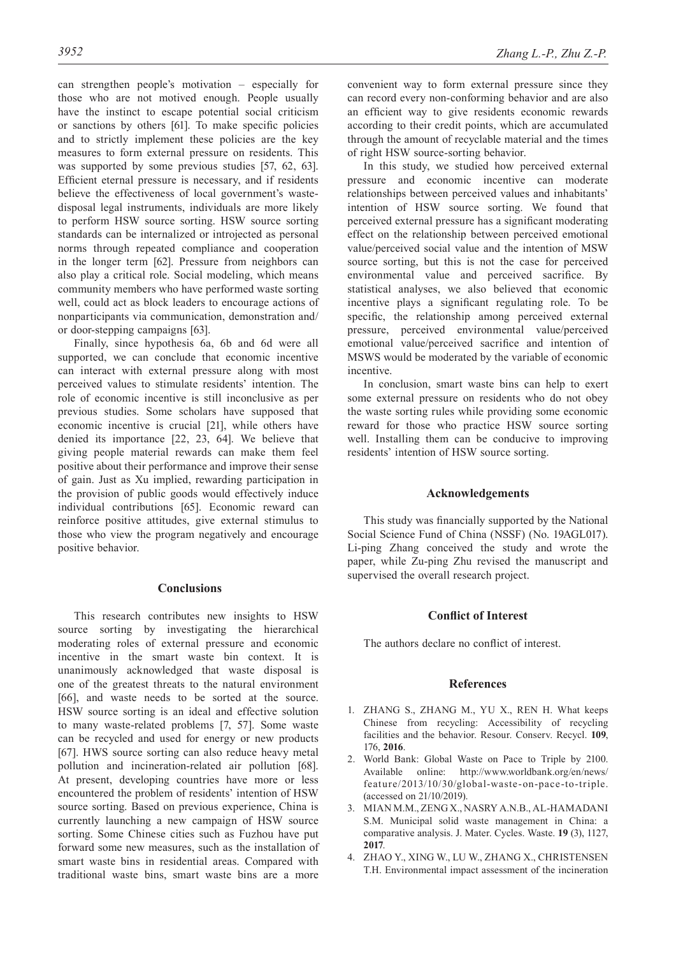can strengthen people's motivation – especially for those who are not motived enough. People usually have the instinct to escape potential social criticism or sanctions by others [61]. To make specific policies and to strictly implement these policies are the key measures to form external pressure on residents. This was supported by some previous studies [57, 62, 63]. Efficient eternal pressure is necessary, and if residents believe the effectiveness of local government's wastedisposal legal instruments, individuals are more likely to perform HSW source sorting. HSW source sorting standards can be internalized or introjected as personal norms through repeated compliance and cooperation in the longer term [62]. Pressure from neighbors can also play a critical role. Social modeling, which means community members who have performed waste sorting well, could act as block leaders to encourage actions of nonparticipants via communication, demonstration and/ or door-stepping campaigns [63].

Finally, since hypothesis 6a, 6b and 6d were all supported, we can conclude that economic incentive can interact with external pressure along with most perceived values to stimulate residents' intention. The role of economic incentive is still inconclusive as per previous studies. Some scholars have supposed that economic incentive is crucial [21], while others have denied its importance [22, 23, 64]. We believe that giving people material rewards can make them feel positive about their performance and improve their sense of gain. Just as Xu implied, rewarding participation in the provision of public goods would effectively induce individual contributions [65]. Economic reward can reinforce positive attitudes, give external stimulus to those who view the program negatively and encourage positive behavior.

## **Conclusions**

This research contributes new insights to HSW source sorting by investigating the hierarchical moderating roles of external pressure and economic incentive in the smart waste bin context. It is unanimously acknowledged that waste disposal is one of the greatest threats to the natural environment [66], and waste needs to be sorted at the source. HSW source sorting is an ideal and effective solution to many waste-related problems [7, 57]. Some waste can be recycled and used for energy or new products [67]. HWS source sorting can also reduce heavy metal pollution and incineration-related air pollution [68]. At present, developing countries have more or less encountered the problem of residents' intention of HSW source sorting. Based on previous experience, China is currently launching a new campaign of HSW source sorting. Some Chinese cities such as Fuzhou have put forward some new measures, such as the installation of smart waste bins in residential areas. Compared with traditional waste bins, smart waste bins are a more convenient way to form external pressure since they can record every non-conforming behavior and are also an efficient way to give residents economic rewards according to their credit points, which are accumulated through the amount of recyclable material and the times of right HSW source-sorting behavior.

In this study, we studied how perceived external pressure and economic incentive can moderate relationships between perceived values and inhabitants' intention of HSW source sorting. We found that perceived external pressure has a significant moderating effect on the relationship between perceived emotional value/perceived social value and the intention of MSW source sorting, but this is not the case for perceived environmental value and perceived sacrifice. By statistical analyses, we also believed that economic incentive plays a significant regulating role. To be specific, the relationship among perceived external pressure, perceived environmental value/perceived emotional value/perceived sacrifice and intention of MSWS would be moderated by the variable of economic incentive.

In conclusion, smart waste bins can help to exert some external pressure on residents who do not obey the waste sorting rules while providing some economic reward for those who practice HSW source sorting well. Installing them can be conducive to improving residents' intention of HSW source sorting.

#### **Acknowledgements**

This study was financially supported by the National Social Science Fund of China (NSSF) (No. 19AGL017). Li-ping Zhang conceived the study and wrote the paper, while Zu-ping Zhu revised the manuscript and supervised the overall research project.

# **Conflict of Interest**

The authors declare no conflict of interest.

#### **References**

- 1. ZHANG S., ZHANG M., YU X., Ren H. What keeps Chinese from recycling: Accessibility of recycling facilities and the behavior. Resour. Conserv. Recycl. **109**, 176, **2016**.
- 2. World Bank: Global Waste on Pace to Triple by 2100. Available online: http://www.worldbank.org/en/news/ feature/2013/10/30/global-waste-on-pace-to-triple. (accessed on 21/10/2019).
- 3. MIAN M.M., ZENG X., NASRY A.N.B., AL-HAMADANI S.M. Municipal solid waste management in China: a comparative analysis. J. Mater. Cycles. Waste. **19** (3), 1127, **2017**.
- 4. ZHAO Y., XING W., LU W., ZHANG X., CHRISTENSEN T.H. Environmental impact assessment of the incineration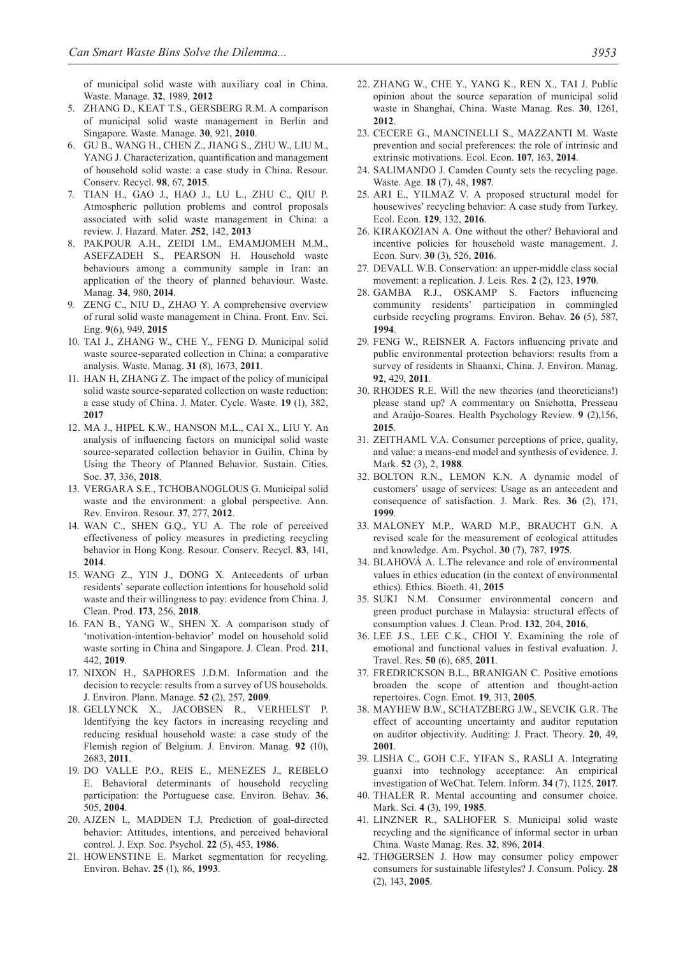of municipal solid waste with auxiliary coal in China. Waste. Manage. **32**, 1989, **2012**

- 5. ZHANG D., KEAT T.S., GERSBERG R.M. A comparison of municipal solid waste management in Berlin and Singapore. Waste. Manage. **30**, 921, **2010**.
- 6. GU B., WANG H., CHEN Z., JIANG S., ZHU W., LIU M., YANG J. Characterization, quantification and management of household solid waste: a case study in China. Resour. Conserv. Recycl. **98**, 67, **2015**.
- 7. TIAN H., GAO J., HAO J., LU L., ZHU C., QIU P. Atmospheric pollution problems and control proposals associated with solid waste management in China: a review. J. Hazard. Mater. *2***52**, 142, **2013**
- 8. PAKPOUR A.H., ZEIDI I.M., EMAMJOMEH M.M., ASEFZADEH S., PEARSON H. Household waste behaviours among a community sample in Iran: an application of the theory of planned behaviour. Waste. Manag. **34**, 980, **2014**.
- 9. ZENG C., NIU D., ZHAO Y. A comprehensive overview of rural solid waste management in China. Front. Env. Sci. Eng. **9**(6), 949, **2015**
- 10. TAI J., ZHANG W., CHE Y., FENG D. Municipal solid waste source-separated collection in China: a comparative analysis. Waste. Manag. **31** (8), 1673, **2011**.
- 11. HAN H, ZHANG Z. The impact of the policy of municipal solid waste source-separated collection on waste reduction: a case study of China. J. Mater. Cycle. Waste. **19** (1), 382, **2017**
- 12. MA J., HIPEL K.W., HANSON M.L., CAI X., LIU Y. An analysis of influencing factors on municipal solid waste source-separated collection behavior in Guilin, China by Using the Theory of Planned Behavior. Sustain. Cities. Soc. **37**, 336, **2018**.
- 13. VERGARA S.E., TCHOBANOGLOUS G. Municipal solid waste and the environment: a global perspective. Ann. Rev. Environ. Resour. **37**, 277, **2012**.
- 14. WAN C., SHEN G.Q., YU A. The role of perceived effectiveness of policy measures in predicting recycling behavior in Hong Kong. Resour. Conserv. Recycl. **83**, 141, **2014**.
- 15. WANG Z., YIN J., DONG X. Antecedents of urban residents' separate collection intentions for household solid waste and their willingness to pay: evidence from China. J. Clean. Prod. **173**, 256, **2018**.
- 16. FAN B., YANG W., SHEN X. A comparison study of 'motivation-intention-behavior' model on household solid waste sorting in China and Singapore. J. Clean. Prod. **211**, 442, **2019**.
- 17. NIXON H., SAPHORES J.D.M. Information and the decision to recycle: results from a survey of US households. J. Environ. Plann. Manage. **52** (2), 257, **2009**.
- 18. GELLYNCK X., JACOBSEN R., VERHELST P. Identifying the key factors in increasing recycling and reducing residual household waste: a case study of the Flemish region of Belgium. J. Environ. Manag. **92** (10), 2683, **2011**.
- 19. DO VALLE P.O., REIS E., MENEZES J., REBELO E. Behavioral determinants of household recycling participation: the Portuguese case. Environ. Behav. **36**, 505, **2004**.
- 20. AJZEN I., MADDEN T.J. Prediction of goal-directed behavior: Attitudes, intentions, and perceived behavioral control. J. Exp. Soc. Psychol. **22** (5), 453, **1986**.
- 21. HOWENSTINE E. Market segmentation for recycling. Environ. Behav. **25** (1), 86, **1993**.
- 22. ZHANG W., CHE Y., YANG K., REN X., TAI J. Public opinion about the source separation of municipal solid waste in Shanghai, China. Waste Manag. Res. **30**, 1261, **2012**.
- 23. CECERE G., MANCINELLI S., MAZZANTI M. Waste prevention and social preferences: the role of intrinsic and extrinsic motivations. Ecol. Econ. **107**, 163, **2014**.
- 24. SALIMANDO J. Camden County sets the recycling page. Waste. Age. **18** (7), 48, **1987**.
- 25. ARI E., YILMAZ V. A proposed structural model for housewives' recycling behavior: A case study from Turkey. Ecol. Econ. **129**, 132, **2016**.
- 26. KIRAKOZIAN A. One without the other? Behavioral and incentive policies for household waste management. J. Econ. Surv. **30** (3), 526, **2016**.
- 27. DEVALL W.B. Conservation: an upper-middle class social movement: a replication. J. Leis. Res. **2** (2), 123, **1970**.
- 28. GAMBA R.J., OSKAMP S. Factors influencing community residents' participation in commingled curbside recycling programs. Environ. Behav. **26** (5), 587, **1994**.
- 29. FENG W., REISNER A. Factors influencing private and public environmental protection behaviors: results from a survey of residents in Shaanxi, China. J. Environ. Manag. **92**, 429, **2011**.
- 30. RHODES R.E. Will the new theories (and theoreticians!) please stand up? A commentary on Sniehotta, Presseau and Araújo-Soares. Health Psychology Review. **9** (2),156, **2015**.
- 31. ZEITHAML V.A. Consumer perceptions of price, quality, and value: a means-end model and synthesis of evidence. J. Mark. **52** (3), 2, **1988**.
- 32. BOLTON R.N., LEMON K.N. A dynamic model of customers' usage of services: Usage as an antecedent and consequence of satisfaction. J. Mark. Res. **36** (2), 171, **1999**.
- 33. MALONEY M.P., WARD M.P., BRAUCHT G.N. A revised scale for the measurement of ecological attitudes and knowledge. Am. Psychol. **30** (7), 787, **1975**.
- 34. BLAHOVÁ A. L.The relevance and role of environmental values in ethics education (in the context of environmental ethics). Ethics. Bioeth. 41, **2015**
- 35. SUKI N.M. Consumer environmental concern and green product purchase in Malaysia: structural effects of consumption values. J. Clean. Prod. **132**, 204, **2016**,
- 36. LEE J.S., LEE C.K., CHOI Y. Examining the role of emotional and functional values in festival evaluation. J. Travel. Res. **50** (6), 685, **2011**.
- 37. FREDRICKSON B.L., BRANIGAN C. Positive emotions broaden the scope of attention and thought-action repertoires. Cogn. Emot. **19**, 313, **2005**.
- 38. MAYHEW B.W., SCHATZBERG J.W., SEVCIK G.R. The effect of accounting uncertainty and auditor reputation on auditor objectivity. Auditing: J. Pract. Theory. **20**, 49, **2001**.
- 39. LISHA C., GOH C.F., YIFAN S., RASLI A. Integrating guanxi into technology acceptance: An empirical investigation of WeChat. Telem. Inform. **34** (7), 1125, **2017**.
- 40. THALER R. Mental accounting and consumer choice. Mark. Sci. **4** (3), 199, **1985**.
- 41. LINZNER R., SALHOFER S. Municipal solid waste recycling and the significance of informal sector in urban China. Waste Manag. Res. **32**, 896, **2014**.
- 42. THØGERSEN J. How may consumer policy empower consumers for sustainable lifestyles? J. Consum. Policy. **28**  (2), 143, **2005**.